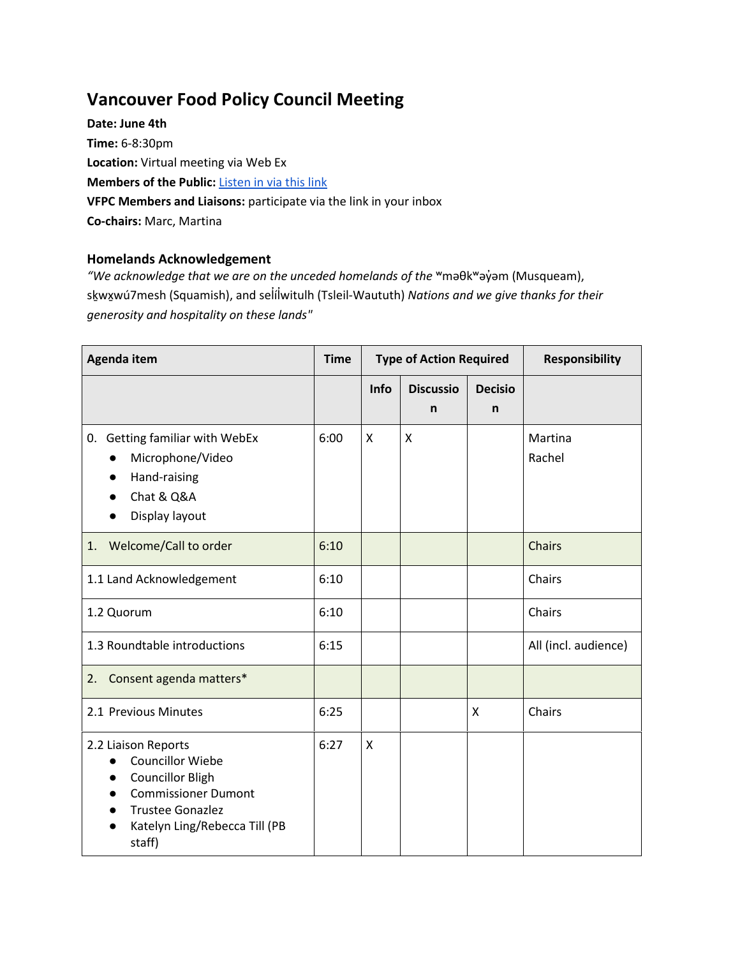### **Vancouver Food Policy Council Meeting**

**Date: June 4th Time:** 6-8:30pm **Location:** Virtual meeting via Web Ex **Members of the Public:** [Listen in via this link](https://vancouver.webex.com/vancouver/onstage/g.php?MTID=e4a1951d405c69616426ae70f02910775%20%5Bvancouver.webex.com%5D.) **VFPC Members and Liaisons:** participate via the link in your inbox **Co-chairs:** Marc, Martina

#### **Homelands Acknowledgement**

"We acknowledge that we are on the unceded homelands of the <sup>w</sup>maθk<sup>w</sup>ay̓ am (Musqueam), sḵwxw̱ ú7mesh (Squamish), and selí̓lw̓ itulh (Tsleil-Waututh) *Nations and we give thanks for their generosity and hospitality on these lands"*

| <b>Agenda item</b>                                                                                                                                                            | <b>Type of Action Required</b><br><b>Time</b> |      |                       | <b>Responsibility</b> |                      |
|-------------------------------------------------------------------------------------------------------------------------------------------------------------------------------|-----------------------------------------------|------|-----------------------|-----------------------|----------------------|
|                                                                                                                                                                               |                                               | Info | <b>Discussio</b><br>n | <b>Decisio</b><br>n   |                      |
| 0. Getting familiar with WebEx<br>Microphone/Video<br>$\bullet$<br>Hand-raising<br>Chat & Q&A<br>Display layout                                                               | 6:00                                          | X    | X                     |                       | Martina<br>Rachel    |
| Welcome/Call to order<br>1.                                                                                                                                                   | 6:10                                          |      |                       |                       | Chairs               |
| 1.1 Land Acknowledgement                                                                                                                                                      | 6:10                                          |      |                       |                       | Chairs               |
| 1.2 Quorum                                                                                                                                                                    | 6:10                                          |      |                       |                       | Chairs               |
| 1.3 Roundtable introductions                                                                                                                                                  | 6:15                                          |      |                       |                       | All (incl. audience) |
| Consent agenda matters*<br>2.                                                                                                                                                 |                                               |      |                       |                       |                      |
| 2.1 Previous Minutes                                                                                                                                                          | 6:25                                          |      |                       | X                     | Chairs               |
| 2.2 Liaison Reports<br><b>Councillor Wiebe</b><br><b>Councillor Bligh</b><br><b>Commissioner Dumont</b><br><b>Trustee Gonazlez</b><br>Katelyn Ling/Rebecca Till (PB<br>staff) | 6:27                                          | X    |                       |                       |                      |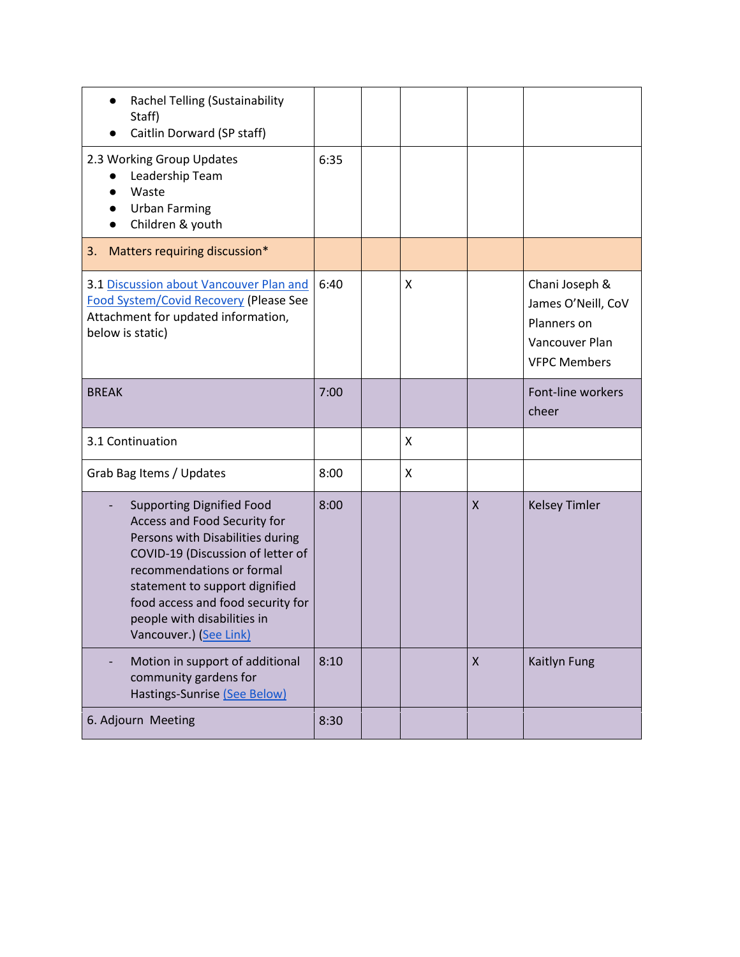| Rachel Telling (Sustainability<br>Staff)<br>Caitlin Dorward (SP staff)                                                                                                                                                                                                                                 |      |   |                    |                                                                                              |
|--------------------------------------------------------------------------------------------------------------------------------------------------------------------------------------------------------------------------------------------------------------------------------------------------------|------|---|--------------------|----------------------------------------------------------------------------------------------|
| 2.3 Working Group Updates<br>Leadership Team<br>Waste<br><b>Urban Farming</b><br>Children & youth                                                                                                                                                                                                      | 6:35 |   |                    |                                                                                              |
| Matters requiring discussion*<br>3.                                                                                                                                                                                                                                                                    |      |   |                    |                                                                                              |
| 3.1 Discussion about Vancouver Plan and<br><b>Food System/Covid Recovery (Please See</b><br>Attachment for updated information,<br>below is static)                                                                                                                                                    | 6:40 | X |                    | Chani Joseph &<br>James O'Neill, CoV<br>Planners on<br>Vancouver Plan<br><b>VFPC Members</b> |
| <b>BREAK</b>                                                                                                                                                                                                                                                                                           | 7:00 |   |                    | Font-line workers<br>cheer                                                                   |
| 3.1 Continuation                                                                                                                                                                                                                                                                                       |      | X |                    |                                                                                              |
| Grab Bag Items / Updates                                                                                                                                                                                                                                                                               | 8:00 | X |                    |                                                                                              |
| <b>Supporting Dignified Food</b><br>Access and Food Security for<br>Persons with Disabilities during<br>COVID-19 (Discussion of letter of<br>recommendations or formal<br>statement to support dignified<br>food access and food security for<br>people with disabilities in<br>Vancouver.) (See Link) | 8:00 |   | $\pmb{\mathsf{X}}$ | <b>Kelsey Timler</b>                                                                         |
| Motion in support of additional<br>community gardens for<br>Hastings-Sunrise (See Below)                                                                                                                                                                                                               | 8:10 |   | X                  | Kaitlyn Fung                                                                                 |
| 6. Adjourn Meeting                                                                                                                                                                                                                                                                                     | 8:30 |   |                    |                                                                                              |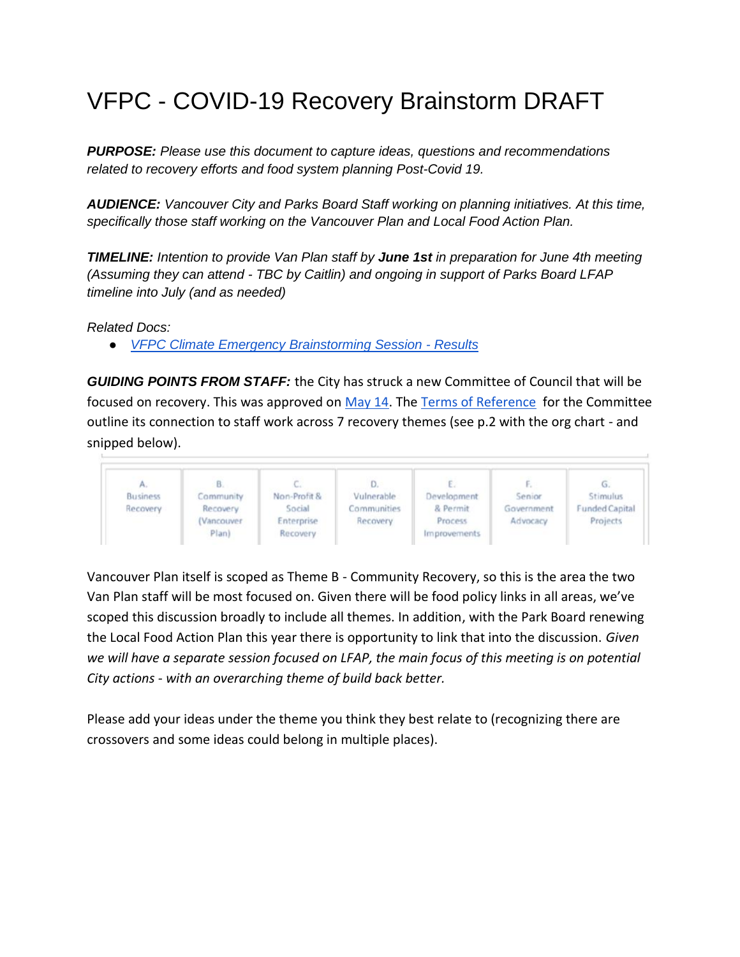# VFPC - COVID-19 Recovery Brainstorm DRAFT

*PURPOSE: Please use this document to capture ideas, questions and recommendations related to recovery efforts and food system planning Post-Covid 19.* 

*AUDIENCE: Vancouver City and Parks Board Staff working on planning initiatives. At this time, specifically those staff working on the Vancouver Plan and Local Food Action Plan.* 

*TIMELINE: Intention to provide Van Plan staff by June 1st in preparation for June 4th meeting (Assuming they can attend - TBC by Caitlin) and ongoing in support of Parks Board LFAP timeline into July (and as needed)*

*Related Docs:* 

● *[VFPC Climate Emergency Brainstorming Session -](https://drive.google.com/drive/folders/1w-CaJqFHOS_U4DHlAOEV63yprNdwegWY) Results*

*GUIDING POINTS FROM STAFF:* the City has struck a new Committee of Council that will be focused on recovery. This was approved on [May 14.](https://council.vancouver.ca/20200514/spec20200514ag.htm) The [Terms of Reference](https://council.vancouver.ca/20200514/documents/spec1TOR.pdf) for the Committee outline its connection to staff work across 7 recovery themes (see p.2 with the org chart - and snipped below).



Vancouver Plan itself is scoped as Theme B - Community Recovery, so this is the area the two Van Plan staff will be most focused on. Given there will be food policy links in all areas, we've scoped this discussion broadly to include all themes. In addition, with the Park Board renewing the Local Food Action Plan this year there is opportunity to link that into the discussion. *Given we will have a separate session focused on LFAP, the main focus of this meeting is on potential City actions - with an overarching theme of build back better.* 

Please add your ideas under the theme you think they best relate to (recognizing there are crossovers and some ideas could belong in multiple places).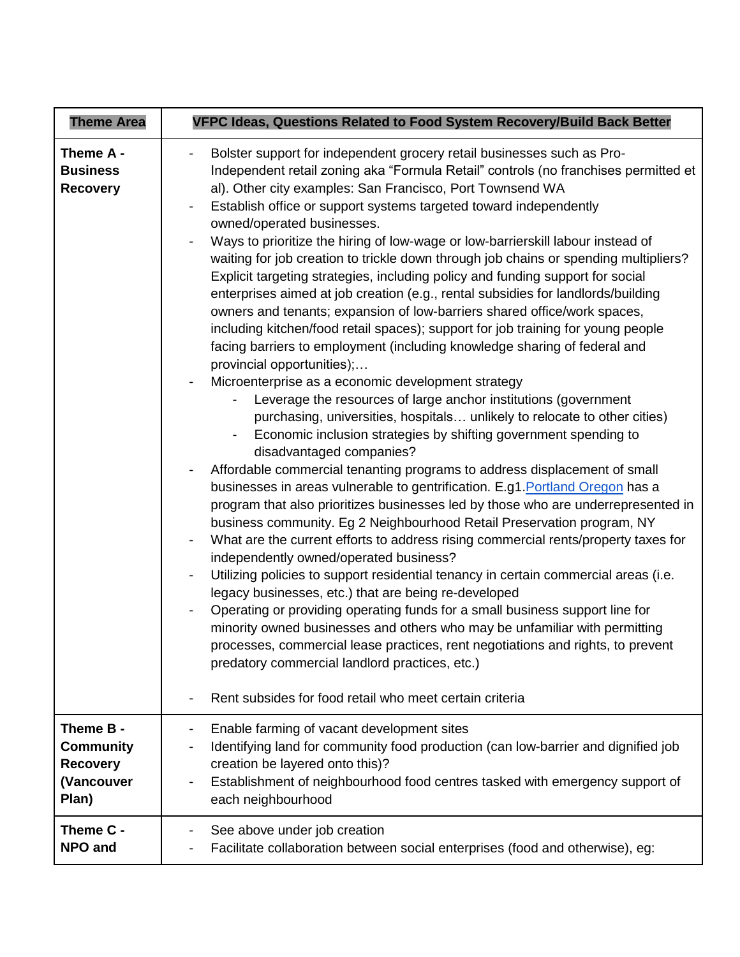| <b>Theme Area</b>                               | VFPC Ideas, Questions Related to Food System Recovery/Build Back Better                                                                                                                                                                                                                                                                                                                                                                                                                                                                                                                                                                                                                                                                                                                                                                                                                                                                                                                                                                                                                                                                                                                                                                                                                                                                                                                                                                                                                                                                                                                                                                                                                                                                                                                                                                                                                                                                                                                                                                                                                                                                                                                                                                   |
|-------------------------------------------------|-------------------------------------------------------------------------------------------------------------------------------------------------------------------------------------------------------------------------------------------------------------------------------------------------------------------------------------------------------------------------------------------------------------------------------------------------------------------------------------------------------------------------------------------------------------------------------------------------------------------------------------------------------------------------------------------------------------------------------------------------------------------------------------------------------------------------------------------------------------------------------------------------------------------------------------------------------------------------------------------------------------------------------------------------------------------------------------------------------------------------------------------------------------------------------------------------------------------------------------------------------------------------------------------------------------------------------------------------------------------------------------------------------------------------------------------------------------------------------------------------------------------------------------------------------------------------------------------------------------------------------------------------------------------------------------------------------------------------------------------------------------------------------------------------------------------------------------------------------------------------------------------------------------------------------------------------------------------------------------------------------------------------------------------------------------------------------------------------------------------------------------------------------------------------------------------------------------------------------------------|
| Theme A -<br><b>Business</b><br><b>Recovery</b> | Bolster support for independent grocery retail businesses such as Pro-<br>Independent retail zoning aka "Formula Retail" controls (no franchises permitted et<br>al). Other city examples: San Francisco, Port Townsend WA<br>Establish office or support systems targeted toward independently<br>owned/operated businesses.<br>Ways to prioritize the hiring of low-wage or low-barrierskill labour instead of<br>waiting for job creation to trickle down through job chains or spending multipliers?<br>Explicit targeting strategies, including policy and funding support for social<br>enterprises aimed at job creation (e.g., rental subsidies for landlords/building<br>owners and tenants; expansion of low-barriers shared office/work spaces,<br>including kitchen/food retail spaces); support for job training for young people<br>facing barriers to employment (including knowledge sharing of federal and<br>provincial opportunities);<br>Microenterprise as a economic development strategy<br>Leverage the resources of large anchor institutions (government<br>purchasing, universities, hospitals unlikely to relocate to other cities)<br>Economic inclusion strategies by shifting government spending to<br>disadvantaged companies?<br>Affordable commercial tenanting programs to address displacement of small<br>businesses in areas vulnerable to gentrification. E.g1. Portland Oregon has a<br>program that also prioritizes businesses led by those who are underrepresented in<br>business community. Eg 2 Neighbourhood Retail Preservation program, NY<br>What are the current efforts to address rising commercial rents/property taxes for<br>independently owned/operated business?<br>Utilizing policies to support residential tenancy in certain commercial areas (i.e.<br>legacy businesses, etc.) that are being re-developed<br>Operating or providing operating funds for a small business support line for<br>minority owned businesses and others who may be unfamiliar with permitting<br>processes, commercial lease practices, rent negotiations and rights, to prevent<br>predatory commercial landlord practices, etc.)<br>Rent subsides for food retail who meet certain criteria |
| Theme B -                                       | Enable farming of vacant development sites                                                                                                                                                                                                                                                                                                                                                                                                                                                                                                                                                                                                                                                                                                                                                                                                                                                                                                                                                                                                                                                                                                                                                                                                                                                                                                                                                                                                                                                                                                                                                                                                                                                                                                                                                                                                                                                                                                                                                                                                                                                                                                                                                                                                |
| <b>Community</b>                                | Identifying land for community food production (can low-barrier and dignified job                                                                                                                                                                                                                                                                                                                                                                                                                                                                                                                                                                                                                                                                                                                                                                                                                                                                                                                                                                                                                                                                                                                                                                                                                                                                                                                                                                                                                                                                                                                                                                                                                                                                                                                                                                                                                                                                                                                                                                                                                                                                                                                                                         |
| <b>Recovery</b>                                 | creation be layered onto this)?                                                                                                                                                                                                                                                                                                                                                                                                                                                                                                                                                                                                                                                                                                                                                                                                                                                                                                                                                                                                                                                                                                                                                                                                                                                                                                                                                                                                                                                                                                                                                                                                                                                                                                                                                                                                                                                                                                                                                                                                                                                                                                                                                                                                           |
| (Vancouver                                      | Establishment of neighbourhood food centres tasked with emergency support of                                                                                                                                                                                                                                                                                                                                                                                                                                                                                                                                                                                                                                                                                                                                                                                                                                                                                                                                                                                                                                                                                                                                                                                                                                                                                                                                                                                                                                                                                                                                                                                                                                                                                                                                                                                                                                                                                                                                                                                                                                                                                                                                                              |
| Plan)                                           | each neighbourhood                                                                                                                                                                                                                                                                                                                                                                                                                                                                                                                                                                                                                                                                                                                                                                                                                                                                                                                                                                                                                                                                                                                                                                                                                                                                                                                                                                                                                                                                                                                                                                                                                                                                                                                                                                                                                                                                                                                                                                                                                                                                                                                                                                                                                        |
| Theme C -                                       | See above under job creation                                                                                                                                                                                                                                                                                                                                                                                                                                                                                                                                                                                                                                                                                                                                                                                                                                                                                                                                                                                                                                                                                                                                                                                                                                                                                                                                                                                                                                                                                                                                                                                                                                                                                                                                                                                                                                                                                                                                                                                                                                                                                                                                                                                                              |
| NPO and                                         | Facilitate collaboration between social enterprises (food and otherwise), eg:                                                                                                                                                                                                                                                                                                                                                                                                                                                                                                                                                                                                                                                                                                                                                                                                                                                                                                                                                                                                                                                                                                                                                                                                                                                                                                                                                                                                                                                                                                                                                                                                                                                                                                                                                                                                                                                                                                                                                                                                                                                                                                                                                             |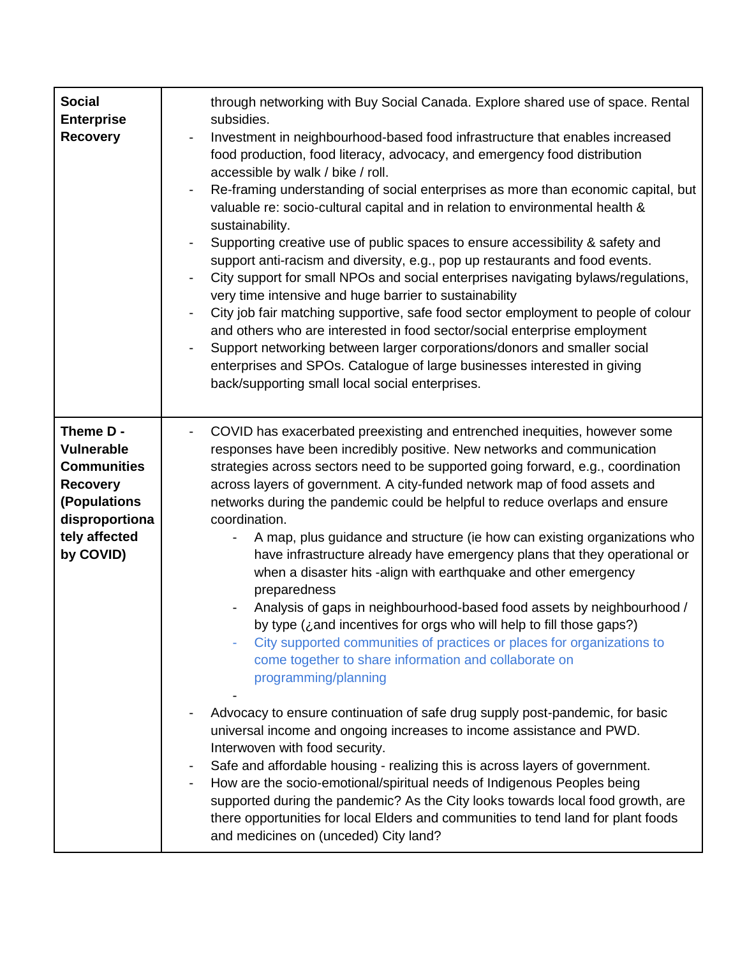| <b>Social</b><br><b>Enterprise</b><br><b>Recovery</b>                                                                                   | through networking with Buy Social Canada. Explore shared use of space. Rental<br>subsidies.<br>Investment in neighbourhood-based food infrastructure that enables increased<br>food production, food literacy, advocacy, and emergency food distribution<br>accessible by walk / bike / roll.<br>Re-framing understanding of social enterprises as more than economic capital, but<br>$\overline{\phantom{a}}$<br>valuable re: socio-cultural capital and in relation to environmental health &<br>sustainability.<br>Supporting creative use of public spaces to ensure accessibility & safety and<br>support anti-racism and diversity, e.g., pop up restaurants and food events.<br>City support for small NPOs and social enterprises navigating bylaws/regulations,<br>$\qquad \qquad \blacksquare$<br>very time intensive and huge barrier to sustainability<br>City job fair matching supportive, safe food sector employment to people of colour<br>and others who are interested in food sector/social enterprise employment<br>Support networking between larger corporations/donors and smaller social<br>enterprises and SPOs. Catalogue of large businesses interested in giving<br>back/supporting small local social enterprises.                                                                                                                                                                                                                                                                                                         |
|-----------------------------------------------------------------------------------------------------------------------------------------|-----------------------------------------------------------------------------------------------------------------------------------------------------------------------------------------------------------------------------------------------------------------------------------------------------------------------------------------------------------------------------------------------------------------------------------------------------------------------------------------------------------------------------------------------------------------------------------------------------------------------------------------------------------------------------------------------------------------------------------------------------------------------------------------------------------------------------------------------------------------------------------------------------------------------------------------------------------------------------------------------------------------------------------------------------------------------------------------------------------------------------------------------------------------------------------------------------------------------------------------------------------------------------------------------------------------------------------------------------------------------------------------------------------------------------------------------------------------------------------------------------------------------------------------------------------|
| Theme D -<br><b>Vulnerable</b><br><b>Communities</b><br><b>Recovery</b><br>(Populations<br>disproportiona<br>tely affected<br>by COVID) | COVID has exacerbated preexisting and entrenched inequities, however some<br>responses have been incredibly positive. New networks and communication<br>strategies across sectors need to be supported going forward, e.g., coordination<br>across layers of government. A city-funded network map of food assets and<br>networks during the pandemic could be helpful to reduce overlaps and ensure<br>coordination.<br>A map, plus guidance and structure (ie how can existing organizations who<br>have infrastructure already have emergency plans that they operational or<br>when a disaster hits -align with earthquake and other emergency<br>preparedness<br>Analysis of gaps in neighbourhood-based food assets by neighbourhood /<br>by type $(i)$ and incentives for orgs who will help to fill those gaps?)<br>City supported communities of practices or places for organizations to<br>come together to share information and collaborate on<br>programming/planning<br>Advocacy to ensure continuation of safe drug supply post-pandemic, for basic<br>universal income and ongoing increases to income assistance and PWD.<br>Interwoven with food security.<br>Safe and affordable housing - realizing this is across layers of government.<br>How are the socio-emotional/spiritual needs of Indigenous Peoples being<br>supported during the pandemic? As the City looks towards local food growth, are<br>there opportunities for local Elders and communities to tend land for plant foods<br>and medicines on (unceded) City land? |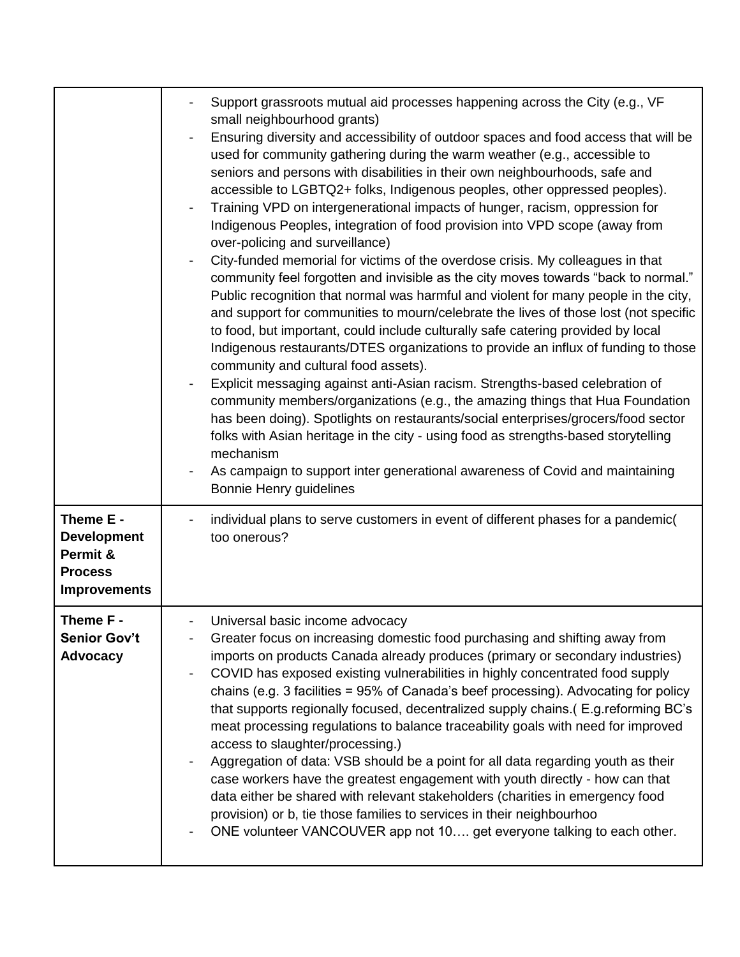|                                                                                      | Support grassroots mutual aid processes happening across the City (e.g., VF<br>small neighbourhood grants)<br>Ensuring diversity and accessibility of outdoor spaces and food access that will be<br>used for community gathering during the warm weather (e.g., accessible to<br>seniors and persons with disabilities in their own neighbourhoods, safe and<br>accessible to LGBTQ2+ folks, Indigenous peoples, other oppressed peoples).<br>Training VPD on intergenerational impacts of hunger, racism, oppression for<br>Indigenous Peoples, integration of food provision into VPD scope (away from<br>over-policing and surveillance)<br>City-funded memorial for victims of the overdose crisis. My colleagues in that<br>community feel forgotten and invisible as the city moves towards "back to normal."<br>Public recognition that normal was harmful and violent for many people in the city,<br>and support for communities to mourn/celebrate the lives of those lost (not specific<br>to food, but important, could include culturally safe catering provided by local<br>Indigenous restaurants/DTES organizations to provide an influx of funding to those<br>community and cultural food assets).<br>Explicit messaging against anti-Asian racism. Strengths-based celebration of<br>community members/organizations (e.g., the amazing things that Hua Foundation<br>has been doing). Spotlights on restaurants/social enterprises/grocers/food sector<br>folks with Asian heritage in the city - using food as strengths-based storytelling<br>mechanism<br>As campaign to support inter generational awareness of Covid and maintaining<br>Bonnie Henry guidelines |
|--------------------------------------------------------------------------------------|-------------------------------------------------------------------------------------------------------------------------------------------------------------------------------------------------------------------------------------------------------------------------------------------------------------------------------------------------------------------------------------------------------------------------------------------------------------------------------------------------------------------------------------------------------------------------------------------------------------------------------------------------------------------------------------------------------------------------------------------------------------------------------------------------------------------------------------------------------------------------------------------------------------------------------------------------------------------------------------------------------------------------------------------------------------------------------------------------------------------------------------------------------------------------------------------------------------------------------------------------------------------------------------------------------------------------------------------------------------------------------------------------------------------------------------------------------------------------------------------------------------------------------------------------------------------------------------------------------------------------------------------------------------------------------------------|
| Theme E -<br><b>Development</b><br>Permit &<br><b>Process</b><br><b>Improvements</b> | individual plans to serve customers in event of different phases for a pandemic(<br>too onerous?                                                                                                                                                                                                                                                                                                                                                                                                                                                                                                                                                                                                                                                                                                                                                                                                                                                                                                                                                                                                                                                                                                                                                                                                                                                                                                                                                                                                                                                                                                                                                                                          |
| Theme F -<br><b>Senior Gov't</b><br>Advocacy                                         | Universal basic income advocacy<br>Greater focus on increasing domestic food purchasing and shifting away from<br>imports on products Canada already produces (primary or secondary industries)<br>COVID has exposed existing vulnerabilities in highly concentrated food supply<br>chains (e.g. 3 facilities = 95% of Canada's beef processing). Advocating for policy<br>that supports regionally focused, decentralized supply chains.( E.g. reforming BC's<br>meat processing regulations to balance traceability goals with need for improved<br>access to slaughter/processing.)<br>Aggregation of data: VSB should be a point for all data regarding youth as their<br>case workers have the greatest engagement with youth directly - how can that<br>data either be shared with relevant stakeholders (charities in emergency food<br>provision) or b, tie those families to services in their neighbourhoo<br>ONE volunteer VANCOUVER app not 10 get everyone talking to each other.                                                                                                                                                                                                                                                                                                                                                                                                                                                                                                                                                                                                                                                                                            |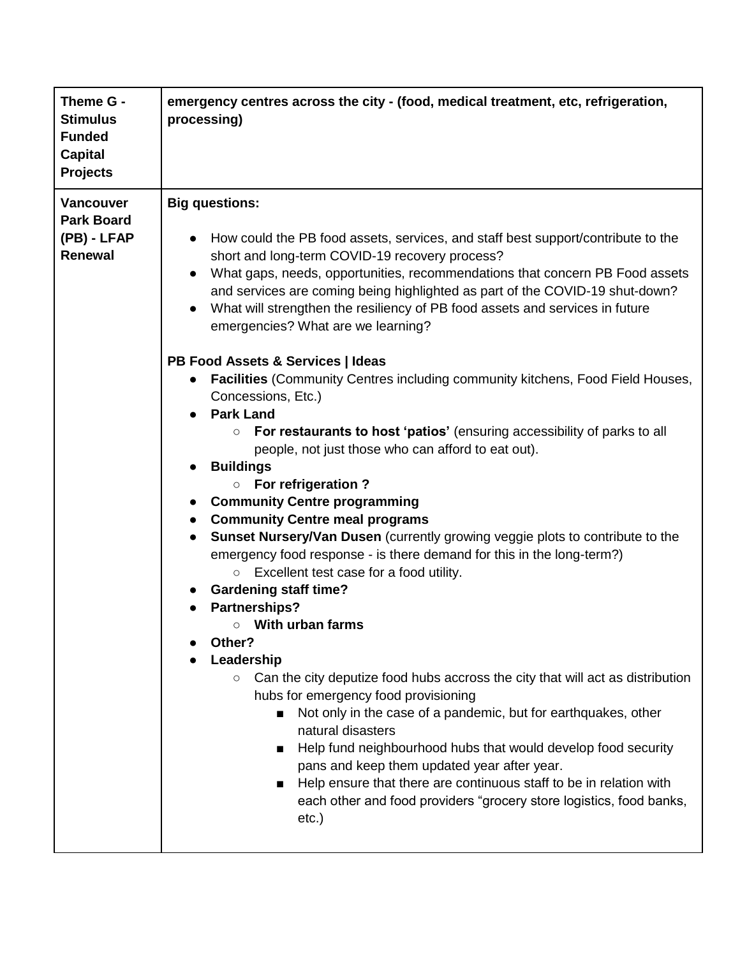| Theme G -<br><b>Stimulus</b><br><b>Funded</b><br><b>Capital</b><br><b>Projects</b> | emergency centres across the city - (food, medical treatment, etc, refrigeration,<br>processing)                                                                                                                                                                                                                                                                                                                                                                                                                                                                                                                                                                                                                                                                                                                                                                                                                                                                                                                                                                                                                                                                                                                                                                                                                                                                                                                                                                                                                                                                                                                                                                                                                                                                      |
|------------------------------------------------------------------------------------|-----------------------------------------------------------------------------------------------------------------------------------------------------------------------------------------------------------------------------------------------------------------------------------------------------------------------------------------------------------------------------------------------------------------------------------------------------------------------------------------------------------------------------------------------------------------------------------------------------------------------------------------------------------------------------------------------------------------------------------------------------------------------------------------------------------------------------------------------------------------------------------------------------------------------------------------------------------------------------------------------------------------------------------------------------------------------------------------------------------------------------------------------------------------------------------------------------------------------------------------------------------------------------------------------------------------------------------------------------------------------------------------------------------------------------------------------------------------------------------------------------------------------------------------------------------------------------------------------------------------------------------------------------------------------------------------------------------------------------------------------------------------------|
| <b>Vancouver</b><br><b>Park Board</b><br>(PB) - LFAP<br><b>Renewal</b>             | <b>Big questions:</b><br>How could the PB food assets, services, and staff best support/contribute to the<br>short and long-term COVID-19 recovery process?<br>What gaps, needs, opportunities, recommendations that concern PB Food assets<br>and services are coming being highlighted as part of the COVID-19 shut-down?<br>What will strengthen the resiliency of PB food assets and services in future<br>emergencies? What are we learning?<br>PB Food Assets & Services   Ideas<br><b>Facilities</b> (Community Centres including community kitchens, Food Field Houses,<br>Concessions, Etc.)<br><b>Park Land</b><br>For restaurants to host 'patios' (ensuring accessibility of parks to all<br>$\circ$<br>people, not just those who can afford to eat out).<br><b>Buildings</b><br><b>For refrigeration?</b><br>$\circ$<br><b>Community Centre programming</b><br><b>Community Centre meal programs</b><br>$\bullet$<br>Sunset Nursery/Van Dusen (currently growing veggie plots to contribute to the<br>emergency food response - is there demand for this in the long-term?)<br>Excellent test case for a food utility.<br>$\circ$<br><b>Gardening staff time?</b><br><b>Partnerships?</b><br>$\circ$ With urban farms<br>Other?<br>Leadership<br>Can the city deputize food hubs accross the city that will act as distribution<br>$\circ$<br>hubs for emergency food provisioning<br>Not only in the case of a pandemic, but for earthquakes, other<br>natural disasters<br>Help fund neighbourhood hubs that would develop food security<br>pans and keep them updated year after year.<br>Help ensure that there are continuous staff to be in relation with<br>■<br>each other and food providers "grocery store logistics, food banks,<br>$etc.$ ) |